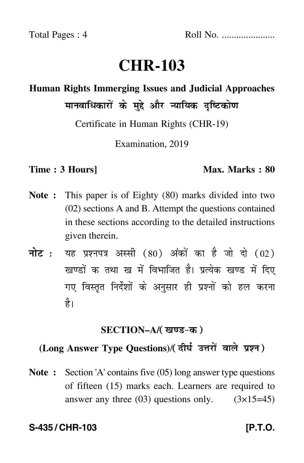# **CHR-103**

### **Human Rights Immerging Issues and Judicial Approaches** मानवाधिकारों के मुद्दे और न्यायिक दृष्टिकोण  $\ddot{\phantom{a}}$

Certificate in Human Rights (CHR-19)

Examination, 2019

### **Time : 3 Hours]** Max. Marks : 80

- **Note :** This paper is of Eighty (80) marks divided into two (02) sections A and B. Attempt the questions contained in these sections according to the detailed instructions given therein.
- नोट : यह प्रश्नपत्र अस्सी (80) अंकों का है जो दो (02) खण्डों क तथा ख में विभाजित है। प्रत्येक खण्ड में दिए गए विस्तृत निर्देशों के अनुसार ही प्रश्नों को हल करन<mark>ा</mark> है।

# <u>SECTION–A</u>/( खण्ड-क )

#### (Long Answer Type Questions)/( दीर्घ उत्तरों वाले प्रश्न )  $\overline{a}$

**Note :** Section 'A' contains five (05) long answer type questions of fifteen (15) marks each. Learners are required to answer any three  $(03)$  questions only.  $(3\times15=45)$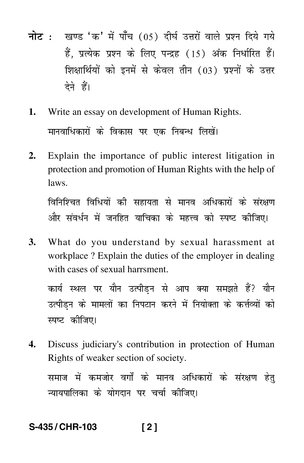- <mark>नोट</mark> : खण्ड 'क' में पाँच (05) दीर्घ उत्तरों वाले प्रश्न दिये गये हैं, प्रत्येक प्रश्न के लिए पन्द्रह (15) अंक निर्धारित हैं। शिक्षार्थियों को इनमें से केवल तीन (03) प्रश्नों के उत्तर देने हैं।
- **1.** Write an essay on development of Human Rights. मानवाधिकारों के विकास पर एक निबन्ध लिखें। ֖֦֧֦֪ׅ֪ׅ֚֚֡֝֬֝֬֝֬֝֝֬֝֬֝֬֝֬֝֬֝֬֝֬֝**֟**  $\ddot{\phantom{a}}$
- **2.** Explain the importance of public interest litigation in protection and promotion of Human Rights with the help of laws.

विनिश्चित विधियों की सहायता से मानव अधिकारों के संरक्षण और संवर्धन में जनहित याचिका के महत्त्व को स्पष्ट कीजिए।

**3.** What do you understand by sexual harassment at workplace ? Explain the duties of the employer in dealing with cases of sexual harrsment.

कार्य स्थल पर यौन उत्पीड़न से आप क्या समझते हैं? यौन उत्पीड़न के मामलों का निपटान करने में नियोक्ता के कर्त्तव्यों को  $\ddot{\phantom{a}}$  $\ddot{\phantom{a}}$ स्पष्ट कीजिए।

**4.** Discuss judiciary's contribution in protection of Human Rights of weaker section of society.

समाज में कमजोर वर्गों के मानव अधिकारों के संरक्षण हेतु न्यायपालिका के योगदान पर चर्चा कीजिए।

# **S-435 / CHR-103 [ 2 ]**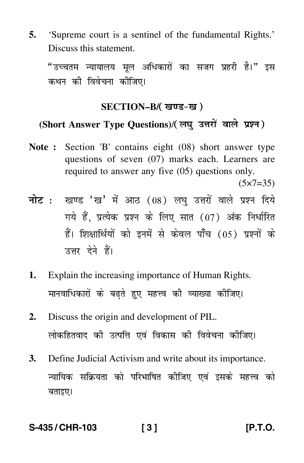**5.** 'Supreme court is a sentinel of the fundamental Rights.' Discuss this statement.

"उच्चतम न्यायालय मूल अधिकारों का सजग प्रहरी है।" इस  $\ddot{\phantom{a}}$ कथन की विवेचना कीजिए।

# SECTION–B/( खण्ड-ख )

#### (Short Answer Type Questions)/(लघु उत्तरों वाले प्रश्न)  $\ddot{\phantom{a}}$

**Note :** Section 'B' contains eight (08) short answer type questions of seven (07) marks each. Learners are required to answer any five (05) questions only.

 $(5 \times 7 = 35)$ 

- <mark>नोट</mark> : खण्ड 'ख' में आठ (08) लघु उत्तरों वाले प्रश्न दिये गये हैं, प्रत्येक प्रश्न के लिए सात (07) अंक निर्धारित हैं। शिक्षार्थियों को इनमें से केवल पाँच (05) प्रश्नों के उत्तर देने हैं।
- **1.** Explain the increasing importance of Human Rights. मानवाधिकारों के बढ़ते हुए महत्त्व की व्याख्या कीजिए।
- **2.** Discuss the origin and development of PIL. लोकहितवाद की उत्पत्ति एवं विकास की विवेचना कीजिए।
- **3.** Define Judicial Activism and write about its importance. न्यायिक सक्रियता को परिभाषित कीजिए एवं इसके महत्त्व को - $\ddot{\phantom{0}}$ बताइए।

### **S-435 / CHR-103 [ 3 ] [P.T.O.**